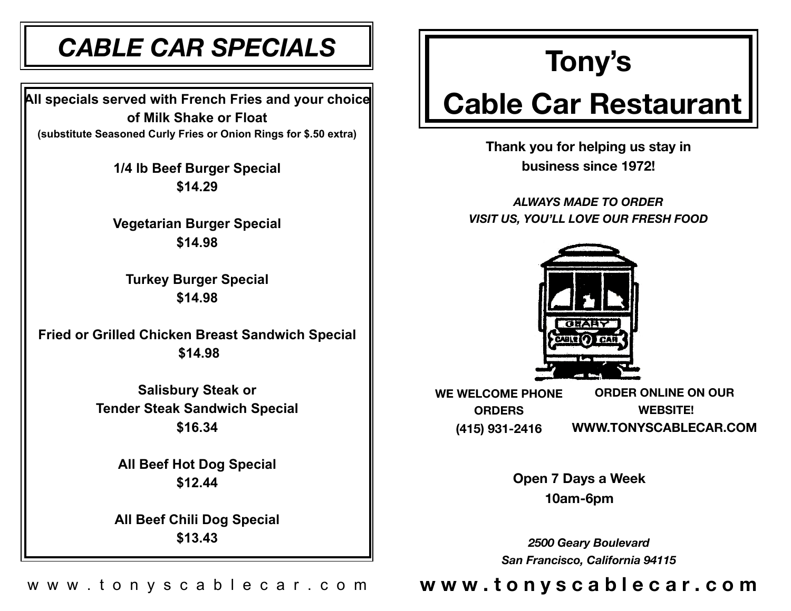## *CABLE CAR SPECIALS*

**All specials served with French Fries and your choice of Milk Shake or Float (substitute Seasoned Curly Fries or Onion Rings for \$.50 extra)** 

> **1/4 lb Beef Burger Special \$14.29**

> **Vegetarian Burger Special \$14.98**

**Turkey Burger Special \$14.98** 

**Fried or Grilled Chicken Breast Sandwich Special \$14.98** 

> **Salisbury Steak or Tender Steak Sandwich Special \$16.34**

> > **All Beef Hot Dog Special \$12.44**

**All Beef Chili Dog Special \$13.43** 

## **Tony's**

# **Cable Car Restaurant**

**Thank you for helping us stay in business since 1972!** 

*ALWAYS MADE TO ORDER VISIT US, YOU'LL LOVE OUR FRESH FOOD* 



**WE WELCOME PHONE ORDERS (415) 931-2416 ORDER ONLINE ON OUR WEBSITE! W[WW.TONYSCABLECAR.COM](http://WWW.TONYSCABLECAR.COM)**

> **Open 7 Days a Week 10am-6pm**

*2500 Geary Boulevard San Francisco, California 94115*

### w w w . t o n y s c a b l e c a r . c o m **w w w . t o n y s c a b l e c a r . c o m**